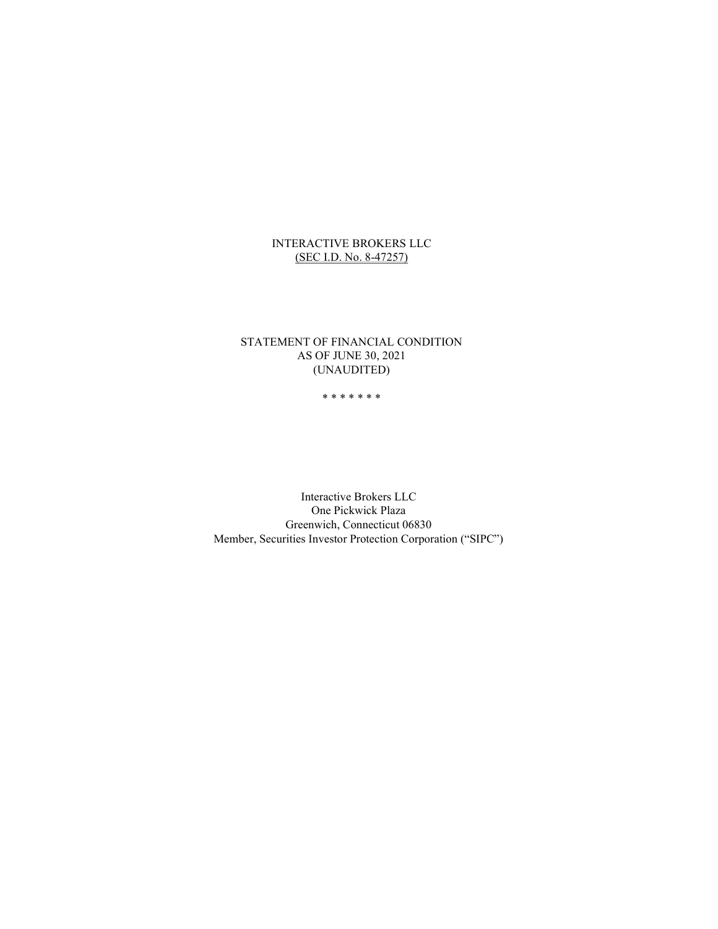### INTERACTIVE BROKERS LLC (SEC I.D. No. 8-47257)

### STATEMENT OF FINANCIAL CONDITION AS OF JUNE 30, 2021 (UNAUDITED)

#### \* \* \* \* \* \* \*

Interactive Brokers LLC One Pickwick Plaza Greenwich, Connecticut 06830 Member, Securities Investor Protection Corporation ("SIPC")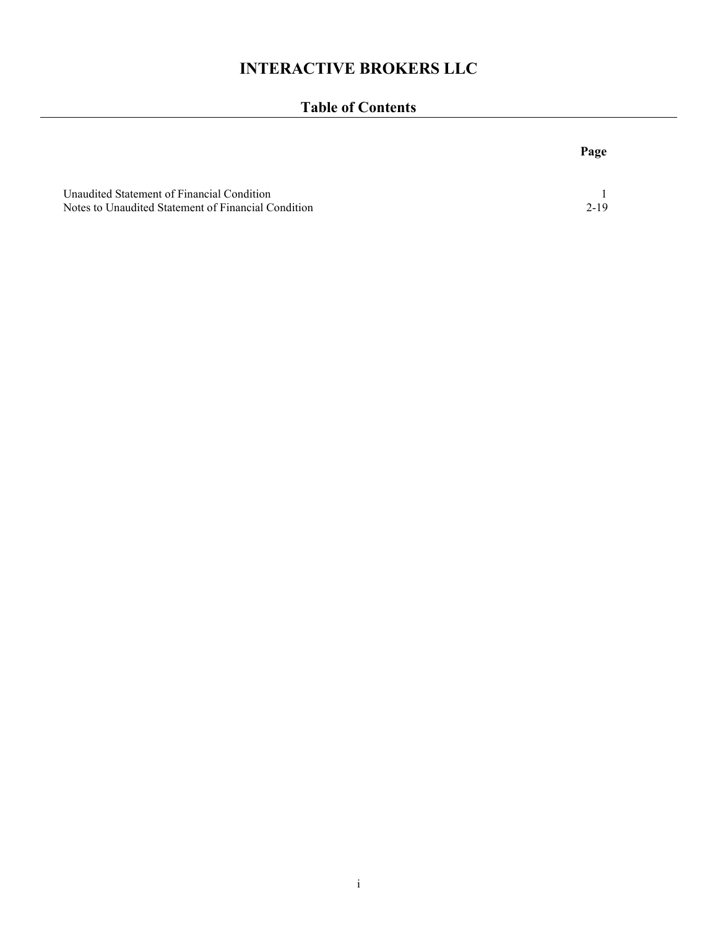# INTERACTIVE BROKERS LLC

# Table of Contents

|                                                                                                   | Page |
|---------------------------------------------------------------------------------------------------|------|
| Unaudited Statement of Financial Condition<br>Notes to Unaudited Statement of Financial Condition | 2-19 |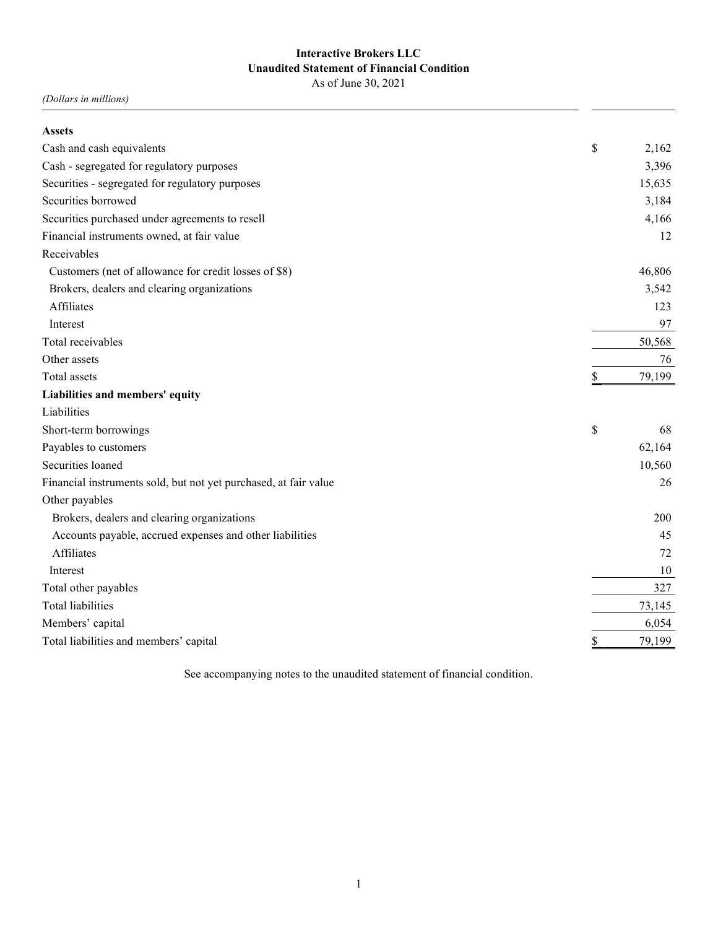# Interactive Brokers LLC Unaudited Statement of Financial Condition

As of June 30, 2021

(Dollars in millions)

| <b>Assets</b>                                                    |              |
|------------------------------------------------------------------|--------------|
| Cash and cash equivalents                                        | \$<br>2,162  |
| Cash - segregated for regulatory purposes                        | 3,396        |
| Securities - segregated for regulatory purposes                  | 15,635       |
| Securities borrowed                                              | 3,184        |
| Securities purchased under agreements to resell                  | 4,166        |
| Financial instruments owned, at fair value                       | 12           |
| Receivables                                                      |              |
| Customers (net of allowance for credit losses of \$8)            | 46,806       |
| Brokers, dealers and clearing organizations                      | 3,542        |
| Affiliates                                                       | 123          |
| Interest                                                         | 97           |
| Total receivables                                                | 50,568       |
| Other assets                                                     | 76           |
| Total assets                                                     | \$<br>79,199 |
| Liabilities and members' equity                                  |              |
| Liabilities                                                      |              |
| Short-term borrowings                                            | \$<br>68     |
| Payables to customers                                            | 62,164       |
| Securities loaned                                                | 10,560       |
| Financial instruments sold, but not yet purchased, at fair value | 26           |
| Other payables                                                   |              |
| Brokers, dealers and clearing organizations                      | 200          |
| Accounts payable, accrued expenses and other liabilities         | 45           |
| Affiliates                                                       | 72           |
| Interest                                                         | 10           |
| Total other payables                                             | 327          |
| <b>Total liabilities</b>                                         | 73,145       |
| Members' capital                                                 | 6,054        |
| Total liabilities and members' capital                           | \$<br>79,199 |

See accompanying notes to the unaudited statement of financial condition.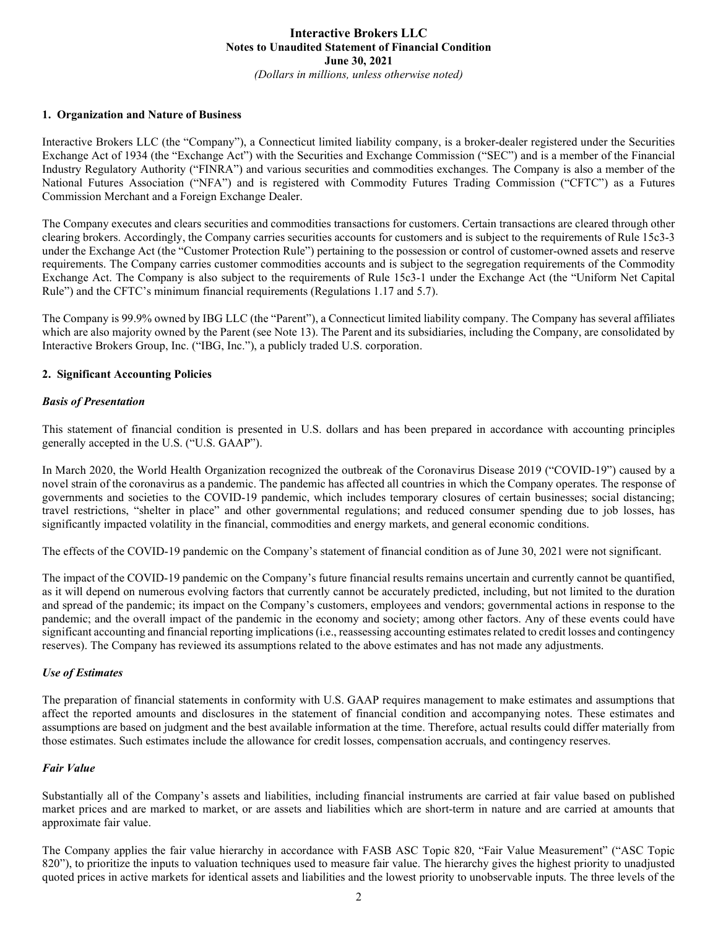#### 1. Organization and Nature of Business

Interactive Brokers LLC (the "Company"), a Connecticut limited liability company, is a broker-dealer registered under the Securities Exchange Act of 1934 (the "Exchange Act") with the Securities and Exchange Commission ("SEC") and is a member of the Financial Industry Regulatory Authority ("FINRA") and various securities and commodities exchanges. The Company is also a member of the National Futures Association ("NFA") and is registered with Commodity Futures Trading Commission ("CFTC") as a Futures Commission Merchant and a Foreign Exchange Dealer.

The Company executes and clears securities and commodities transactions for customers. Certain transactions are cleared through other clearing brokers. Accordingly, the Company carries securities accounts for customers and is subject to the requirements of Rule 15c3-3 under the Exchange Act (the "Customer Protection Rule") pertaining to the possession or control of customer-owned assets and reserve requirements. The Company carries customer commodities accounts and is subject to the segregation requirements of the Commodity Exchange Act. The Company is also subject to the requirements of Rule 15c3-1 under the Exchange Act (the "Uniform Net Capital Rule") and the CFTC's minimum financial requirements (Regulations 1.17 and 5.7).

The Company is 99.9% owned by IBG LLC (the "Parent"), a Connecticut limited liability company. The Company has several affiliates which are also majority owned by the Parent (see Note 13). The Parent and its subsidiaries, including the Company, are consolidated by Interactive Brokers Group, Inc. ("IBG, Inc."), a publicly traded U.S. corporation.

#### 2. Significant Accounting Policies

#### Basis of Presentation

This statement of financial condition is presented in U.S. dollars and has been prepared in accordance with accounting principles generally accepted in the U.S. ("U.S. GAAP").

In March 2020, the World Health Organization recognized the outbreak of the Coronavirus Disease 2019 ("COVID-19") caused by a novel strain of the coronavirus as a pandemic. The pandemic has affected all countries in which the Company operates. The response of governments and societies to the COVID-19 pandemic, which includes temporary closures of certain businesses; social distancing; travel restrictions, "shelter in place" and other governmental regulations; and reduced consumer spending due to job losses, has significantly impacted volatility in the financial, commodities and energy markets, and general economic conditions.

The effects of the COVID-19 pandemic on the Company's statement of financial condition as of June 30, 2021 were not significant.

The impact of the COVID-19 pandemic on the Company's future financial results remains uncertain and currently cannot be quantified, as it will depend on numerous evolving factors that currently cannot be accurately predicted, including, but not limited to the duration and spread of the pandemic; its impact on the Company's customers, employees and vendors; governmental actions in response to the pandemic; and the overall impact of the pandemic in the economy and society; among other factors. Any of these events could have significant accounting and financial reporting implications (i.e., reassessing accounting estimates related to credit losses and contingency reserves). The Company has reviewed its assumptions related to the above estimates and has not made any adjustments.

#### Use of Estimates

The preparation of financial statements in conformity with U.S. GAAP requires management to make estimates and assumptions that affect the reported amounts and disclosures in the statement of financial condition and accompanying notes. These estimates and assumptions are based on judgment and the best available information at the time. Therefore, actual results could differ materially from those estimates. Such estimates include the allowance for credit losses, compensation accruals, and contingency reserves.

#### Fair Value

Substantially all of the Company's assets and liabilities, including financial instruments are carried at fair value based on published market prices and are marked to market, or are assets and liabilities which are short-term in nature and are carried at amounts that approximate fair value.

The Company applies the fair value hierarchy in accordance with FASB ASC Topic 820, "Fair Value Measurement" ("ASC Topic 820"), to prioritize the inputs to valuation techniques used to measure fair value. The hierarchy gives the highest priority to unadjusted quoted prices in active markets for identical assets and liabilities and the lowest priority to unobservable inputs. The three levels of the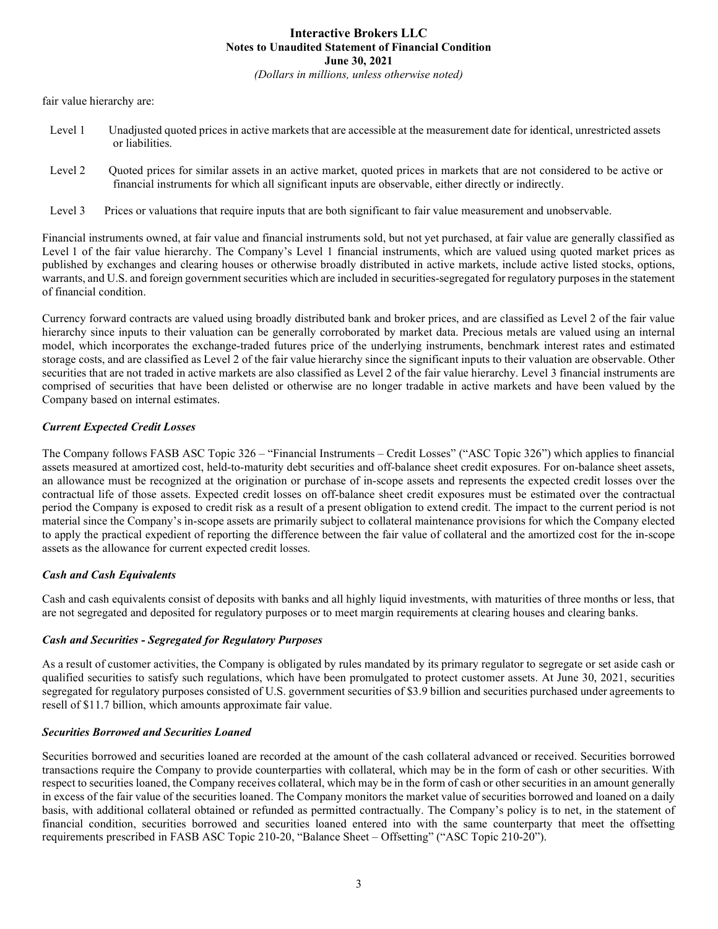fair value hierarchy are:

- Level 1 Unadjusted quoted prices in active markets that are accessible at the measurement date for identical, unrestricted assets or liabilities.
- Level 2 Quoted prices for similar assets in an active market, quoted prices in markets that are not considered to be active or financial instruments for which all significant inputs are observable, either directly or indirectly.
- Level 3 Prices or valuations that require inputs that are both significant to fair value measurement and unobservable.

Financial instruments owned, at fair value and financial instruments sold, but not yet purchased, at fair value are generally classified as Level 1 of the fair value hierarchy. The Company's Level 1 financial instruments, which are valued using quoted market prices as published by exchanges and clearing houses or otherwise broadly distributed in active markets, include active listed stocks, options, warrants, and U.S. and foreign government securities which are included in securities-segregated for regulatory purposes in the statement of financial condition.

Currency forward contracts are valued using broadly distributed bank and broker prices, and are classified as Level 2 of the fair value hierarchy since inputs to their valuation can be generally corroborated by market data. Precious metals are valued using an internal model, which incorporates the exchange-traded futures price of the underlying instruments, benchmark interest rates and estimated storage costs, and are classified as Level 2 of the fair value hierarchy since the significant inputs to their valuation are observable. Other securities that are not traded in active markets are also classified as Level 2 of the fair value hierarchy. Level 3 financial instruments are comprised of securities that have been delisted or otherwise are no longer tradable in active markets and have been valued by the Company based on internal estimates.

### Current Expected Credit Losses

The Company follows FASB ASC Topic 326 – "Financial Instruments – Credit Losses" ("ASC Topic 326") which applies to financial assets measured at amortized cost, held-to-maturity debt securities and off-balance sheet credit exposures. For on-balance sheet assets, an allowance must be recognized at the origination or purchase of in-scope assets and represents the expected credit losses over the contractual life of those assets. Expected credit losses on off-balance sheet credit exposures must be estimated over the contractual period the Company is exposed to credit risk as a result of a present obligation to extend credit. The impact to the current period is not material since the Company's in-scope assets are primarily subject to collateral maintenance provisions for which the Company elected to apply the practical expedient of reporting the difference between the fair value of collateral and the amortized cost for the in-scope assets as the allowance for current expected credit losses.

#### Cash and Cash Equivalents

Cash and cash equivalents consist of deposits with banks and all highly liquid investments, with maturities of three months or less, that are not segregated and deposited for regulatory purposes or to meet margin requirements at clearing houses and clearing banks.

#### Cash and Securities - Segregated for Regulatory Purposes

As a result of customer activities, the Company is obligated by rules mandated by its primary regulator to segregate or set aside cash or qualified securities to satisfy such regulations, which have been promulgated to protect customer assets. At June 30, 2021, securities segregated for regulatory purposes consisted of U.S. government securities of \$3.9 billion and securities purchased under agreements to resell of \$11.7 billion, which amounts approximate fair value.

#### Securities Borrowed and Securities Loaned

Securities borrowed and securities loaned are recorded at the amount of the cash collateral advanced or received. Securities borrowed transactions require the Company to provide counterparties with collateral, which may be in the form of cash or other securities. With respect to securities loaned, the Company receives collateral, which may be in the form of cash or other securities in an amount generally in excess of the fair value of the securities loaned. The Company monitors the market value of securities borrowed and loaned on a daily basis, with additional collateral obtained or refunded as permitted contractually. The Company's policy is to net, in the statement of financial condition, securities borrowed and securities loaned entered into with the same counterparty that meet the offsetting requirements prescribed in FASB ASC Topic 210-20, "Balance Sheet – Offsetting" ("ASC Topic 210-20").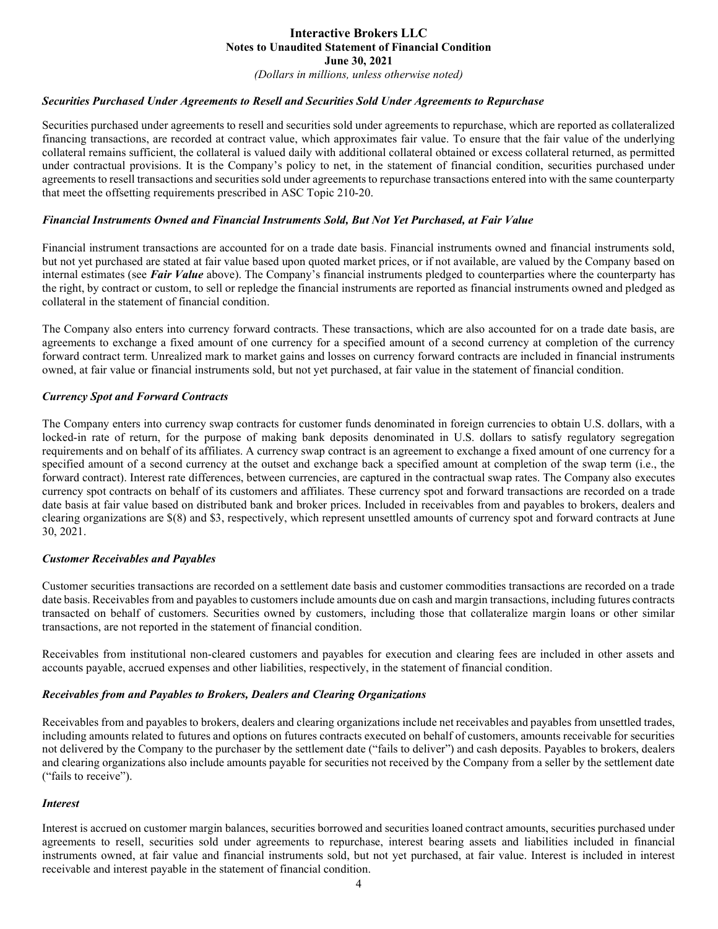(Dollars in millions, unless otherwise noted)

#### Securities Purchased Under Agreements to Resell and Securities Sold Under Agreements to Repurchase

Securities purchased under agreements to resell and securities sold under agreements to repurchase, which are reported as collateralized financing transactions, are recorded at contract value, which approximates fair value. To ensure that the fair value of the underlying collateral remains sufficient, the collateral is valued daily with additional collateral obtained or excess collateral returned, as permitted under contractual provisions. It is the Company's policy to net, in the statement of financial condition, securities purchased under agreements to resell transactions and securities sold under agreements to repurchase transactions entered into with the same counterparty that meet the offsetting requirements prescribed in ASC Topic 210-20.

#### Financial Instruments Owned and Financial Instruments Sold, But Not Yet Purchased, at Fair Value

Financial instrument transactions are accounted for on a trade date basis. Financial instruments owned and financial instruments sold, but not yet purchased are stated at fair value based upon quoted market prices, or if not available, are valued by the Company based on internal estimates (see Fair Value above). The Company's financial instruments pledged to counterparties where the counterparty has the right, by contract or custom, to sell or repledge the financial instruments are reported as financial instruments owned and pledged as collateral in the statement of financial condition.

The Company also enters into currency forward contracts. These transactions, which are also accounted for on a trade date basis, are agreements to exchange a fixed amount of one currency for a specified amount of a second currency at completion of the currency forward contract term. Unrealized mark to market gains and losses on currency forward contracts are included in financial instruments owned, at fair value or financial instruments sold, but not yet purchased, at fair value in the statement of financial condition.

#### Currency Spot and Forward Contracts

The Company enters into currency swap contracts for customer funds denominated in foreign currencies to obtain U.S. dollars, with a locked-in rate of return, for the purpose of making bank deposits denominated in U.S. dollars to satisfy regulatory segregation requirements and on behalf of its affiliates. A currency swap contract is an agreement to exchange a fixed amount of one currency for a specified amount of a second currency at the outset and exchange back a specified amount at completion of the swap term (i.e., the forward contract). Interest rate differences, between currencies, are captured in the contractual swap rates. The Company also executes currency spot contracts on behalf of its customers and affiliates. These currency spot and forward transactions are recorded on a trade date basis at fair value based on distributed bank and broker prices. Included in receivables from and payables to brokers, dealers and clearing organizations are \$(8) and \$3, respectively, which represent unsettled amounts of currency spot and forward contracts at June 30, 2021.

#### Customer Receivables and Payables

Customer securities transactions are recorded on a settlement date basis and customer commodities transactions are recorded on a trade date basis. Receivables from and payables to customers include amounts due on cash and margin transactions, including futures contracts transacted on behalf of customers. Securities owned by customers, including those that collateralize margin loans or other similar transactions, are not reported in the statement of financial condition.

Receivables from institutional non-cleared customers and payables for execution and clearing fees are included in other assets and accounts payable, accrued expenses and other liabilities, respectively, in the statement of financial condition.

#### Receivables from and Payables to Brokers, Dealers and Clearing Organizations

Receivables from and payables to brokers, dealers and clearing organizations include net receivables and payables from unsettled trades, including amounts related to futures and options on futures contracts executed on behalf of customers, amounts receivable for securities not delivered by the Company to the purchaser by the settlement date ("fails to deliver") and cash deposits. Payables to brokers, dealers and clearing organizations also include amounts payable for securities not received by the Company from a seller by the settlement date ("fails to receive").

#### Interest

Interest is accrued on customer margin balances, securities borrowed and securities loaned contract amounts, securities purchased under agreements to resell, securities sold under agreements to repurchase, interest bearing assets and liabilities included in financial instruments owned, at fair value and financial instruments sold, but not yet purchased, at fair value. Interest is included in interest receivable and interest payable in the statement of financial condition.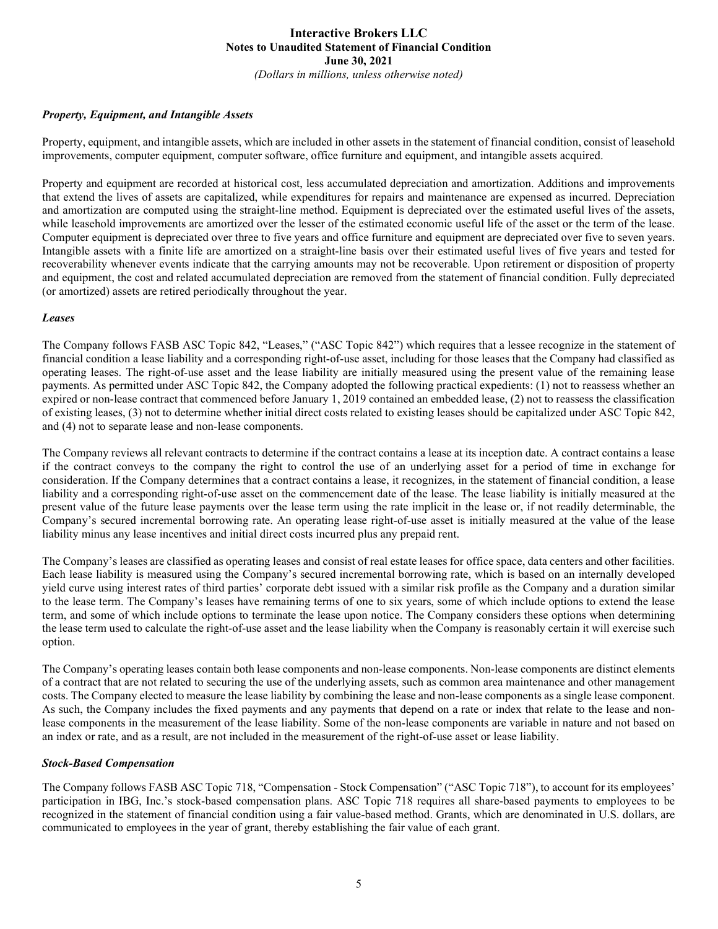#### Property, Equipment, and Intangible Assets

Property, equipment, and intangible assets, which are included in other assets in the statement of financial condition, consist of leasehold improvements, computer equipment, computer software, office furniture and equipment, and intangible assets acquired.

Property and equipment are recorded at historical cost, less accumulated depreciation and amortization. Additions and improvements that extend the lives of assets are capitalized, while expenditures for repairs and maintenance are expensed as incurred. Depreciation and amortization are computed using the straight-line method. Equipment is depreciated over the estimated useful lives of the assets, while leasehold improvements are amortized over the lesser of the estimated economic useful life of the asset or the term of the lease. Computer equipment is depreciated over three to five years and office furniture and equipment are depreciated over five to seven years. Intangible assets with a finite life are amortized on a straight-line basis over their estimated useful lives of five years and tested for recoverability whenever events indicate that the carrying amounts may not be recoverable. Upon retirement or disposition of property and equipment, the cost and related accumulated depreciation are removed from the statement of financial condition. Fully depreciated (or amortized) assets are retired periodically throughout the year.

#### Leases

The Company follows FASB ASC Topic 842, "Leases," ("ASC Topic 842") which requires that a lessee recognize in the statement of financial condition a lease liability and a corresponding right-of-use asset, including for those leases that the Company had classified as operating leases. The right-of-use asset and the lease liability are initially measured using the present value of the remaining lease payments. As permitted under ASC Topic 842, the Company adopted the following practical expedients: (1) not to reassess whether an expired or non-lease contract that commenced before January 1, 2019 contained an embedded lease, (2) not to reassess the classification of existing leases, (3) not to determine whether initial direct costs related to existing leases should be capitalized under ASC Topic 842, and (4) not to separate lease and non-lease components.

The Company reviews all relevant contracts to determine if the contract contains a lease at its inception date. A contract contains a lease if the contract conveys to the company the right to control the use of an underlying asset for a period of time in exchange for consideration. If the Company determines that a contract contains a lease, it recognizes, in the statement of financial condition, a lease liability and a corresponding right-of-use asset on the commencement date of the lease. The lease liability is initially measured at the present value of the future lease payments over the lease term using the rate implicit in the lease or, if not readily determinable, the Company's secured incremental borrowing rate. An operating lease right-of-use asset is initially measured at the value of the lease liability minus any lease incentives and initial direct costs incurred plus any prepaid rent.

The Company's leases are classified as operating leases and consist of real estate leases for office space, data centers and other facilities. Each lease liability is measured using the Company's secured incremental borrowing rate, which is based on an internally developed yield curve using interest rates of third parties' corporate debt issued with a similar risk profile as the Company and a duration similar to the lease term. The Company's leases have remaining terms of one to six years, some of which include options to extend the lease term, and some of which include options to terminate the lease upon notice. The Company considers these options when determining the lease term used to calculate the right-of-use asset and the lease liability when the Company is reasonably certain it will exercise such option.

The Company's operating leases contain both lease components and non-lease components. Non-lease components are distinct elements of a contract that are not related to securing the use of the underlying assets, such as common area maintenance and other management costs. The Company elected to measure the lease liability by combining the lease and non-lease components as a single lease component. As such, the Company includes the fixed payments and any payments that depend on a rate or index that relate to the lease and nonlease components in the measurement of the lease liability. Some of the non-lease components are variable in nature and not based on an index or rate, and as a result, are not included in the measurement of the right-of-use asset or lease liability.

#### Stock-Based Compensation

The Company follows FASB ASC Topic 718, "Compensation - Stock Compensation" ("ASC Topic 718"), to account for its employees' participation in IBG, Inc.'s stock-based compensation plans. ASC Topic 718 requires all share-based payments to employees to be recognized in the statement of financial condition using a fair value-based method. Grants, which are denominated in U.S. dollars, are communicated to employees in the year of grant, thereby establishing the fair value of each grant.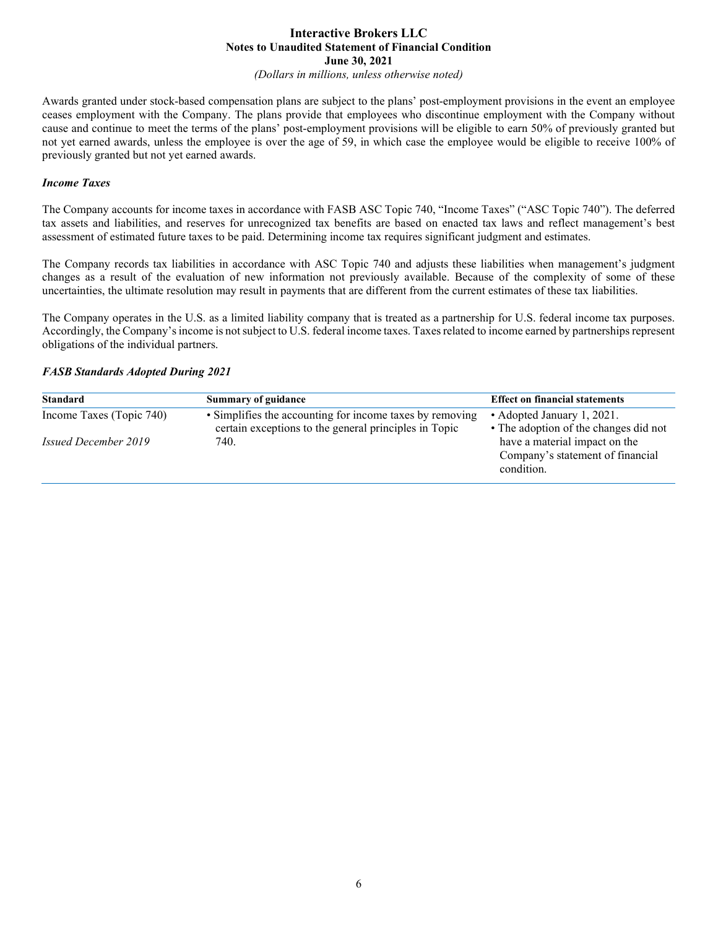(Dollars in millions, unless otherwise noted)

Awards granted under stock-based compensation plans are subject to the plans' post-employment provisions in the event an employee ceases employment with the Company. The plans provide that employees who discontinue employment with the Company without cause and continue to meet the terms of the plans' post-employment provisions will be eligible to earn 50% of previously granted but not yet earned awards, unless the employee is over the age of 59, in which case the employee would be eligible to receive 100% of previously granted but not yet earned awards.

#### Income Taxes

The Company accounts for income taxes in accordance with FASB ASC Topic 740, "Income Taxes" ("ASC Topic 740"). The deferred tax assets and liabilities, and reserves for unrecognized tax benefits are based on enacted tax laws and reflect management's best assessment of estimated future taxes to be paid. Determining income tax requires significant judgment and estimates.

The Company records tax liabilities in accordance with ASC Topic 740 and adjusts these liabilities when management's judgment changes as a result of the evaluation of new information not previously available. Because of the complexity of some of these uncertainties, the ultimate resolution may result in payments that are different from the current estimates of these tax liabilities.

The Company operates in the U.S. as a limited liability company that is treated as a partnership for U.S. federal income tax purposes. Accordingly, the Company's income is not subject to U.S. federal income taxes. Taxes related to income earned by partnerships represent obligations of the individual partners.

#### FASB Standards Adopted During 2021

| <b>Standard</b>             | <b>Summary of guidance</b>                                                                                        | <b>Effect on financial statements</b>                                           |
|-----------------------------|-------------------------------------------------------------------------------------------------------------------|---------------------------------------------------------------------------------|
| Income Taxes (Topic 740)    | • Simplifies the accounting for income taxes by removing<br>certain exceptions to the general principles in Topic | • Adopted January 1, 2021.<br>• The adoption of the changes did not             |
| <i>Issued December 2019</i> | 740.                                                                                                              | have a material impact on the<br>Company's statement of financial<br>condition. |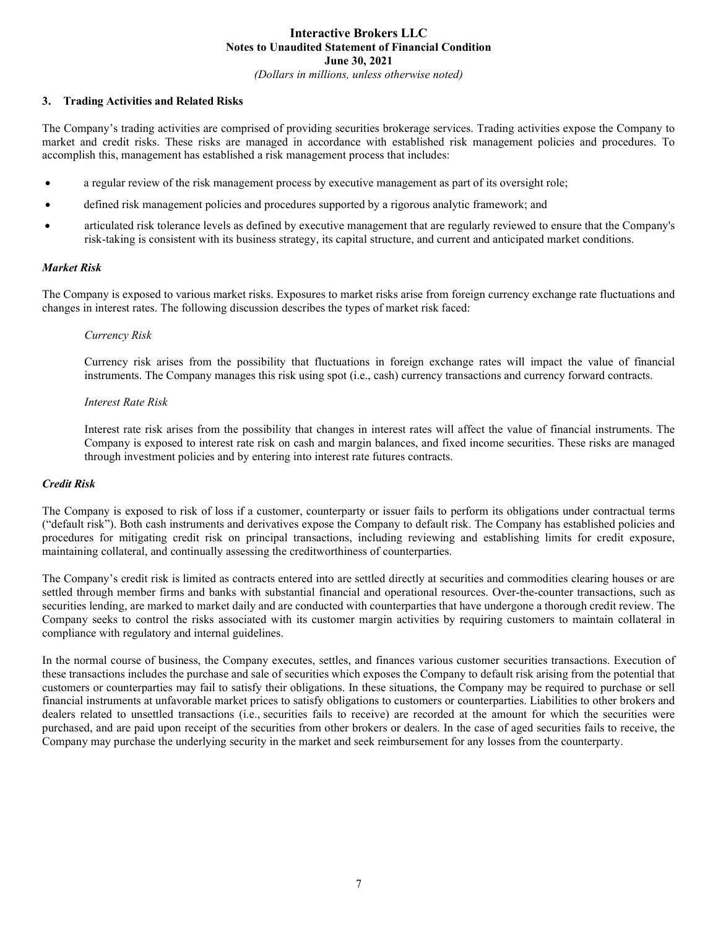#### 3. Trading Activities and Related Risks

The Company's trading activities are comprised of providing securities brokerage services. Trading activities expose the Company to market and credit risks. These risks are managed in accordance with established risk management policies and procedures. To accomplish this, management has established a risk management process that includes:

- a regular review of the risk management process by executive management as part of its oversight role;
- defined risk management policies and procedures supported by a rigorous analytic framework; and
- articulated risk tolerance levels as defined by executive management that are regularly reviewed to ensure that the Company's risk-taking is consistent with its business strategy, its capital structure, and current and anticipated market conditions.

#### Market Risk

The Company is exposed to various market risks. Exposures to market risks arise from foreign currency exchange rate fluctuations and changes in interest rates. The following discussion describes the types of market risk faced:

#### Currency Risk

Currency risk arises from the possibility that fluctuations in foreign exchange rates will impact the value of financial instruments. The Company manages this risk using spot (i.e., cash) currency transactions and currency forward contracts.

#### Interest Rate Risk

Interest rate risk arises from the possibility that changes in interest rates will affect the value of financial instruments. The Company is exposed to interest rate risk on cash and margin balances, and fixed income securities. These risks are managed through investment policies and by entering into interest rate futures contracts.

#### Credit Risk

The Company is exposed to risk of loss if a customer, counterparty or issuer fails to perform its obligations under contractual terms ("default risk"). Both cash instruments and derivatives expose the Company to default risk. The Company has established policies and procedures for mitigating credit risk on principal transactions, including reviewing and establishing limits for credit exposure, maintaining collateral, and continually assessing the creditworthiness of counterparties.

The Company's credit risk is limited as contracts entered into are settled directly at securities and commodities clearing houses or are settled through member firms and banks with substantial financial and operational resources. Over-the-counter transactions, such as securities lending, are marked to market daily and are conducted with counterparties that have undergone a thorough credit review. The Company seeks to control the risks associated with its customer margin activities by requiring customers to maintain collateral in compliance with regulatory and internal guidelines.

In the normal course of business, the Company executes, settles, and finances various customer securities transactions. Execution of these transactions includes the purchase and sale of securities which exposes the Company to default risk arising from the potential that customers or counterparties may fail to satisfy their obligations. In these situations, the Company may be required to purchase or sell financial instruments at unfavorable market prices to satisfy obligations to customers or counterparties. Liabilities to other brokers and dealers related to unsettled transactions (i.e., securities fails to receive) are recorded at the amount for which the securities were purchased, and are paid upon receipt of the securities from other brokers or dealers. In the case of aged securities fails to receive, the Company may purchase the underlying security in the market and seek reimbursement for any losses from the counterparty.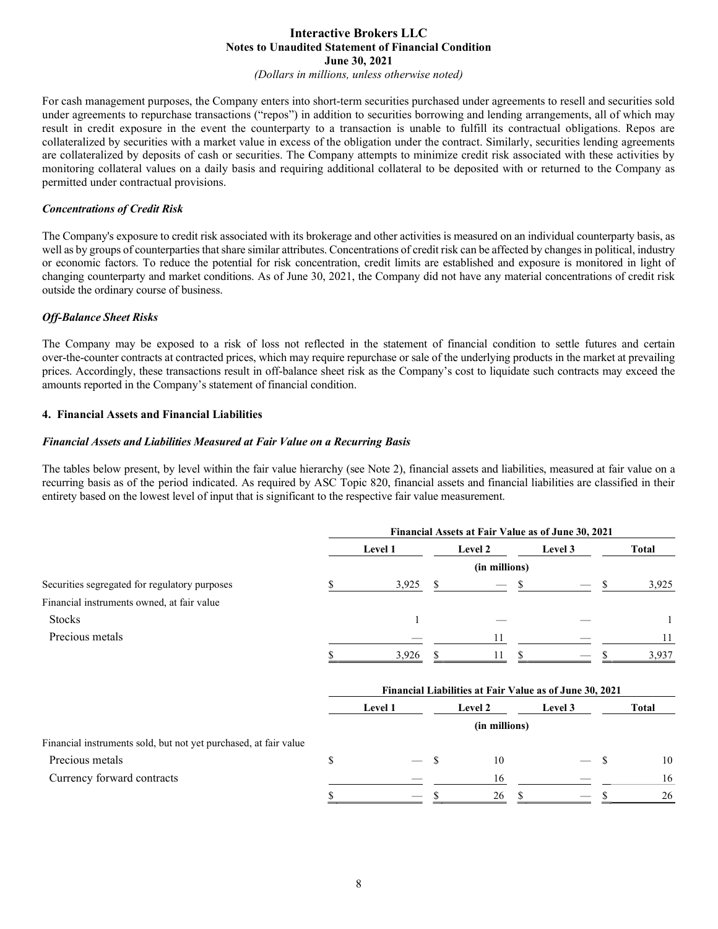(Dollars in millions, unless otherwise noted)

For cash management purposes, the Company enters into short-term securities purchased under agreements to resell and securities sold under agreements to repurchase transactions ("repos") in addition to securities borrowing and lending arrangements, all of which may result in credit exposure in the event the counterparty to a transaction is unable to fulfill its contractual obligations. Repos are collateralized by securities with a market value in excess of the obligation under the contract. Similarly, securities lending agreements are collateralized by deposits of cash or securities. The Company attempts to minimize credit risk associated with these activities by monitoring collateral values on a daily basis and requiring additional collateral to be deposited with or returned to the Company as permitted under contractual provisions.

#### Concentrations of Credit Risk

The Company's exposure to credit risk associated with its brokerage and other activities is measured on an individual counterparty basis, as well as by groups of counterparties that share similar attributes. Concentrations of credit risk can be affected by changes in political, industry or economic factors. To reduce the potential for risk concentration, credit limits are established and exposure is monitored in light of changing counterparty and market conditions. As of June 30, 2021, the Company did not have any material concentrations of credit risk outside the ordinary course of business.

#### Off-Balance Sheet Risks

The Company may be exposed to a risk of loss not reflected in the statement of financial condition to settle futures and certain over-the-counter contracts at contracted prices, which may require repurchase or sale of the underlying products in the market at prevailing prices. Accordingly, these transactions result in off-balance sheet risk as the Company's cost to liquidate such contracts may exceed the amounts reported in the Company's statement of financial condition.

#### 4. Financial Assets and Financial Liabilities

#### Financial Assets and Liabilities Measured at Fair Value on a Recurring Basis

The tables below present, by level within the fair value hierarchy (see Note 2), financial assets and liabilities, measured at fair value on a recurring basis as of the period indicated. As required by ASC Topic 820, financial assets and financial liabilities are classified in their entirety based on the lowest level of input that is significant to the respective fair value measurement.

|                                                                  | Financial Assets at Fair Value as of June 30, 2021 |         |               |               |              |                                                         |    |              |
|------------------------------------------------------------------|----------------------------------------------------|---------|---------------|---------------|--------------|---------------------------------------------------------|----|--------------|
|                                                                  |                                                    | Level 1 | Level 2       |               | Level 3      |                                                         |    | <b>Total</b> |
|                                                                  |                                                    |         |               | (in millions) |              |                                                         |    |              |
| Securities segregated for regulatory purposes                    | \$                                                 | 3,925   | <sup>\$</sup> |               | \$           |                                                         | \$ | 3,925        |
| Financial instruments owned, at fair value                       |                                                    |         |               |               |              |                                                         |    |              |
| <b>Stocks</b>                                                    |                                                    | 1       |               |               |              |                                                         |    |              |
| Precious metals                                                  |                                                    |         |               | 11            |              |                                                         |    | 11           |
|                                                                  |                                                    | 3,926   |               | 11            |              |                                                         |    | 3,937        |
|                                                                  |                                                    |         |               |               |              | Financial Liabilities at Fair Value as of June 30, 2021 |    |              |
|                                                                  |                                                    | Level 1 |               | Level 2       |              | Level 3                                                 |    | <b>Total</b> |
|                                                                  |                                                    |         |               | (in millions) |              |                                                         |    |              |
| Financial instruments sold, but not yet purchased, at fair value |                                                    |         |               |               |              |                                                         |    |              |
| Precious metals                                                  | \$                                                 |         | S             | 10            |              |                                                         | S  | 10           |
| Currency forward contracts                                       |                                                    |         |               | 16            |              |                                                         |    | 16           |
|                                                                  | \$                                                 |         | \$            | 26            | <sup>8</sup> |                                                         |    | 26           |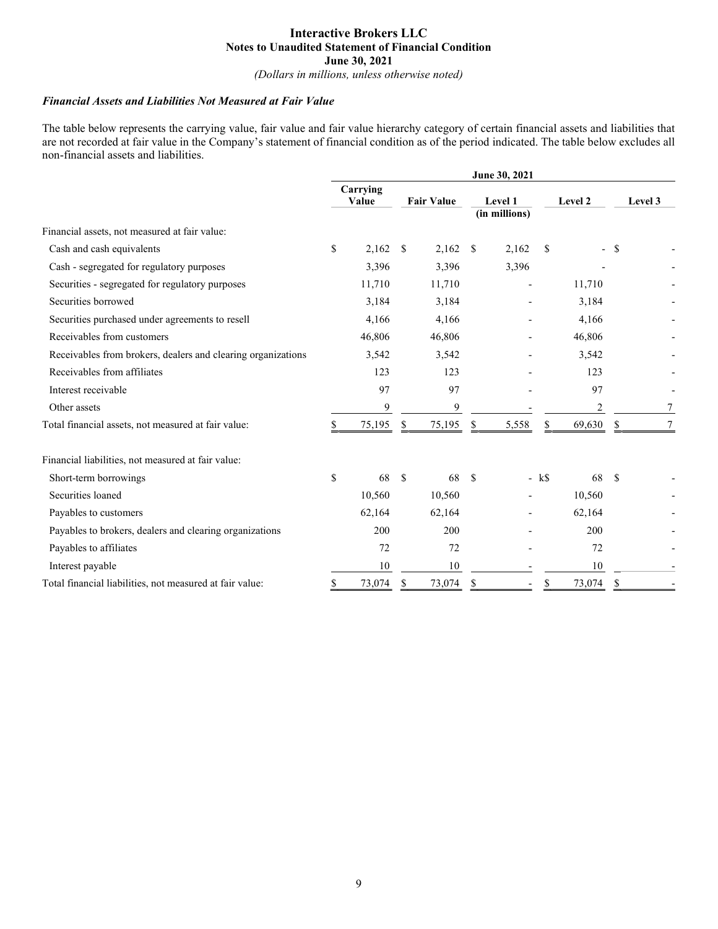(Dollars in millions, unless otherwise noted)

#### Financial Assets and Liabilities Not Measured at Fair Value

The table below represents the carrying value, fair value and fair value hierarchy category of certain financial assets and liabilities that are not recorded at fair value in the Company's statement of financial condition as of the period indicated. The table below excludes all non-financial assets and liabilities.

| June 30, 2021 |        |                   |        |                   |       |                          |        |              |         |
|---------------|--------|-------------------|--------|-------------------|-------|--------------------------|--------|--------------|---------|
|               |        |                   |        |                   |       |                          |        |              | Level 3 |
|               |        |                   |        |                   |       |                          |        |              |         |
| \$            | 2,162  | -S                | 2,162  | \$                | 2,162 | <sup>\$</sup>            |        |              |         |
|               | 3,396  |                   | 3,396  |                   | 3,396 |                          |        |              |         |
|               | 11,710 |                   | 11,710 |                   |       |                          | 11,710 |              |         |
|               | 3,184  |                   | 3,184  |                   |       |                          | 3,184  |              |         |
|               | 4,166  |                   | 4,166  |                   |       |                          | 4,166  |              |         |
|               | 46,806 |                   | 46,806 |                   |       |                          | 46,806 |              |         |
|               | 3,542  |                   | 3,542  |                   |       |                          | 3,542  |              |         |
|               | 123    |                   | 123    |                   |       |                          | 123    |              |         |
|               | 97     |                   | 97     |                   |       |                          | 97     |              |         |
|               | 9      |                   | 9      |                   |       |                          | 2      |              | 7       |
| \$            | 75,195 | -S                | 75,195 | \$                | 5,558 | S.                       | 69,630 | \$           | 7       |
|               |        |                   |        |                   |       |                          |        |              |         |
| \$            | 68     | <sup>\$</sup>     | 68     | <sup>\$</sup>     |       |                          | 68     | $\mathbf{s}$ |         |
|               | 10,560 |                   | 10,560 |                   |       |                          | 10,560 |              |         |
|               | 62,164 |                   | 62,164 |                   |       |                          | 62,164 |              |         |
|               | 200    |                   | 200    |                   |       |                          | 200    |              |         |
|               | 72     |                   | 72     |                   |       |                          | 72     |              |         |
|               | 10     |                   | 10     |                   |       |                          | 10     |              |         |
| \$            | 73,074 | \$                | 73,074 | \$                |       | S                        | 73,074 | \$           |         |
|               |        | Carrying<br>Value |        | <b>Fair Value</b> |       | Level 1<br>(in millions) | $-kS$  | Level 2      | - \$    |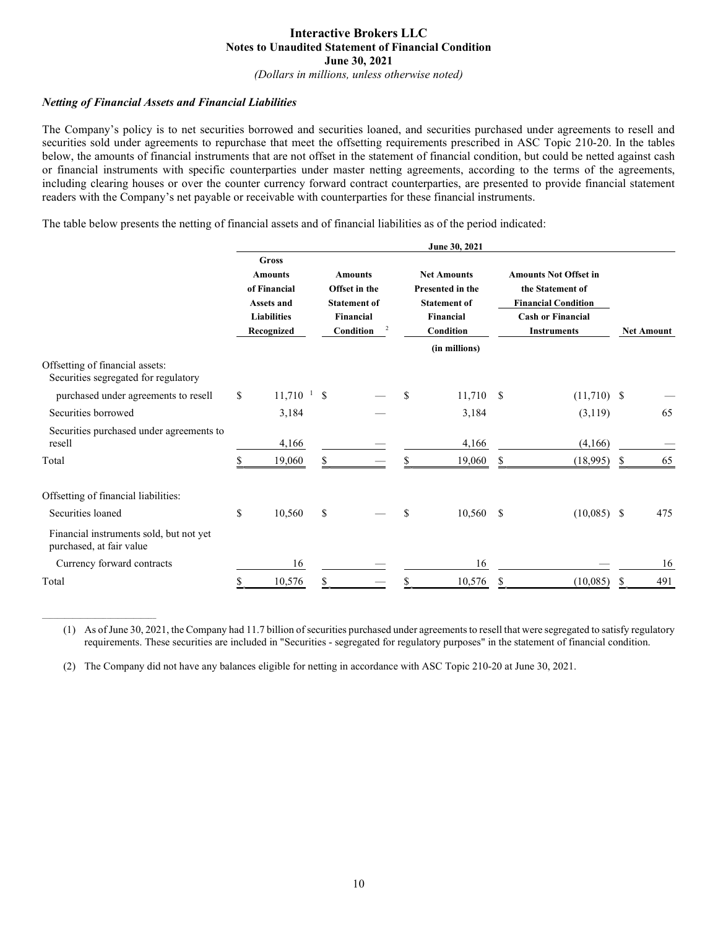(Dollars in millions, unless otherwise noted)

#### Netting of Financial Assets and Financial Liabilities

 $\mathcal{L}_\text{max}$ 

The Company's policy is to net securities borrowed and securities loaned, and securities purchased under agreements to resell and securities sold under agreements to repurchase that meet the offsetting requirements prescribed in ASC Topic 210-20. In the tables below, the amounts of financial instruments that are not offset in the statement of financial condition, but could be netted against cash or financial instruments with specific counterparties under master netting agreements, according to the terms of the agreements, including clearing houses or over the counter currency forward contract counterparties, are presented to provide financial statement readers with the Company's net payable or receivable with counterparties for these financial instruments.

The table below presents the netting of financial assets and of financial liabilities as of the period indicated:

|                                                                     |    |                                                                                                  |                                                                                                           |  |                                                                                                | June 30, 2021 |                                                                                                                                  |               |                   |     |
|---------------------------------------------------------------------|----|--------------------------------------------------------------------------------------------------|-----------------------------------------------------------------------------------------------------------|--|------------------------------------------------------------------------------------------------|---------------|----------------------------------------------------------------------------------------------------------------------------------|---------------|-------------------|-----|
|                                                                     |    | <b>Gross</b><br><b>Amounts</b><br>of Financial<br>Assets and<br><b>Liabilities</b><br>Recognized | <b>Amounts</b><br>Offset in the<br><b>Statement of</b><br><b>Financial</b><br>$\overline{2}$<br>Condition |  | <b>Net Amounts</b><br><b>Presented in the</b><br><b>Statement of</b><br>Financial<br>Condition |               | <b>Amounts Not Offset in</b><br>the Statement of<br><b>Financial Condition</b><br><b>Cash or Financial</b><br><b>Instruments</b> |               | <b>Net Amount</b> |     |
| Offsetting of financial assets:                                     |    |                                                                                                  |                                                                                                           |  |                                                                                                | (in millions) |                                                                                                                                  |               |                   |     |
| Securities segregated for regulatory                                |    |                                                                                                  |                                                                                                           |  |                                                                                                |               |                                                                                                                                  |               |                   |     |
| purchased under agreements to resell                                | \$ | 11,710<br>$\mathbf{1}$                                                                           | <sup>\$</sup>                                                                                             |  | \$.                                                                                            | 11,710        | $\mathbf{s}$                                                                                                                     | $(11,710)$ \$ |                   |     |
| Securities borrowed                                                 |    | 3,184                                                                                            |                                                                                                           |  |                                                                                                | 3,184         |                                                                                                                                  | (3,119)       |                   | 65  |
| Securities purchased under agreements to<br>resell                  |    | 4,166                                                                                            |                                                                                                           |  |                                                                                                | 4,166         |                                                                                                                                  | (4,166)       |                   |     |
| Total                                                               |    | 19,060                                                                                           | \$                                                                                                        |  |                                                                                                | 19,060        | \$                                                                                                                               | (18,995)      | S                 | 65  |
| Offsetting of financial liabilities:                                |    |                                                                                                  |                                                                                                           |  |                                                                                                |               |                                                                                                                                  |               |                   |     |
| Securities loaned                                                   | \$ | 10,560                                                                                           | \$                                                                                                        |  | \$                                                                                             | 10,560        | -S                                                                                                                               | $(10,085)$ \$ |                   | 475 |
| Financial instruments sold, but not yet<br>purchased, at fair value |    |                                                                                                  |                                                                                                           |  |                                                                                                |               |                                                                                                                                  |               |                   |     |
| Currency forward contracts                                          |    | 16                                                                                               |                                                                                                           |  |                                                                                                | 16            |                                                                                                                                  |               |                   | 16  |
| Total                                                               | S  | 10,576                                                                                           |                                                                                                           |  |                                                                                                | 10,576        | S                                                                                                                                | (10,085)      | S                 | 491 |

(1) As of June 30, 2021, the Company had 11.7 billion of securities purchased under agreements to resell that were segregated to satisfy regulatory requirements. These securities are included in "Securities - segregated for regulatory purposes" in the statement of financial condition.

(2) The Company did not have any balances eligible for netting in accordance with ASC Topic 210-20 at June 30, 2021.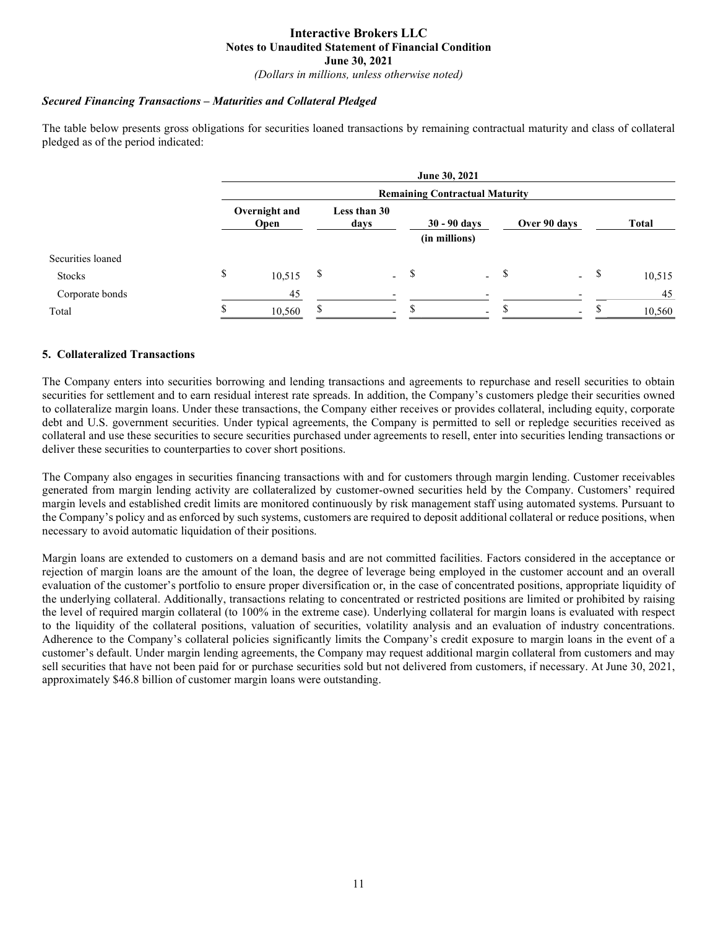(Dollars in millions, unless otherwise noted)

#### Secured Financing Transactions – Maturities and Collateral Pledged

The table below presents gross obligations for securities loaned transactions by remaining contractual maturity and class of collateral pledged as of the period indicated:

|                   |                              |                                       |    |                                                         |  | June 30, 2021            |              |                          |              |  |  |
|-------------------|------------------------------|---------------------------------------|----|---------------------------------------------------------|--|--------------------------|--------------|--------------------------|--------------|--|--|
|                   |                              | <b>Remaining Contractual Maturity</b> |    |                                                         |  |                          |              |                          |              |  |  |
|                   | Overnight and<br><b>Open</b> |                                       |    | Less than 30<br>$30 - 90$ days<br>days<br>(in millions) |  |                          | Over 90 days |                          | <b>Total</b> |  |  |
| Securities loaned |                              |                                       |    |                                                         |  |                          |              |                          |              |  |  |
| Stocks            | \$                           | 10,515                                | \$ | $-$ \$                                                  |  | $\mathbf{r}$             |              | $-$ \$                   | 10,515       |  |  |
| Corporate bonds   |                              | 45                                    |    |                                                         |  |                          |              |                          | 45           |  |  |
| Total             |                              | 10,560                                | S  | $\overline{\phantom{0}}$                                |  | $\overline{\phantom{0}}$ |              | $\overline{\phantom{0}}$ | 10,560       |  |  |

#### 5. Collateralized Transactions

The Company enters into securities borrowing and lending transactions and agreements to repurchase and resell securities to obtain securities for settlement and to earn residual interest rate spreads. In addition, the Company's customers pledge their securities owned to collateralize margin loans. Under these transactions, the Company either receives or provides collateral, including equity, corporate debt and U.S. government securities. Under typical agreements, the Company is permitted to sell or repledge securities received as collateral and use these securities to secure securities purchased under agreements to resell, enter into securities lending transactions or deliver these securities to counterparties to cover short positions.

The Company also engages in securities financing transactions with and for customers through margin lending. Customer receivables generated from margin lending activity are collateralized by customer-owned securities held by the Company. Customers' required margin levels and established credit limits are monitored continuously by risk management staff using automated systems. Pursuant to the Company's policy and as enforced by such systems, customers are required to deposit additional collateral or reduce positions, when necessary to avoid automatic liquidation of their positions.

Margin loans are extended to customers on a demand basis and are not committed facilities. Factors considered in the acceptance or rejection of margin loans are the amount of the loan, the degree of leverage being employed in the customer account and an overall evaluation of the customer's portfolio to ensure proper diversification or, in the case of concentrated positions, appropriate liquidity of the underlying collateral. Additionally, transactions relating to concentrated or restricted positions are limited or prohibited by raising the level of required margin collateral (to 100% in the extreme case). Underlying collateral for margin loans is evaluated with respect to the liquidity of the collateral positions, valuation of securities, volatility analysis and an evaluation of industry concentrations. Adherence to the Company's collateral policies significantly limits the Company's credit exposure to margin loans in the event of a customer's default. Under margin lending agreements, the Company may request additional margin collateral from customers and may sell securities that have not been paid for or purchase securities sold but not delivered from customers, if necessary. At June 30, 2021, approximately \$46.8 billion of customer margin loans were outstanding.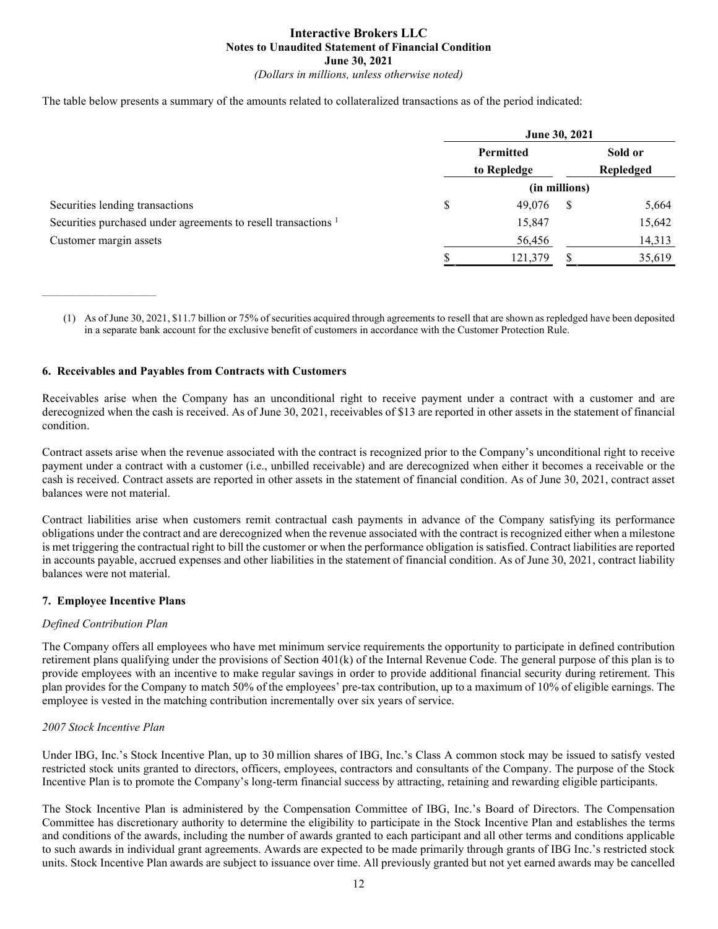The table below presents a summary of the amounts related to collateralized transactions as of the period indicated:

|                                                                           |                                 | June 30, 2021 |   |           |  |  |
|---------------------------------------------------------------------------|---------------------------------|---------------|---|-----------|--|--|
|                                                                           | <b>Permitted</b><br>to Repledge |               |   | Sold or   |  |  |
|                                                                           |                                 |               |   | Repledged |  |  |
|                                                                           |                                 | (in millions) |   |           |  |  |
| Securities lending transactions                                           | S                               | 49,076        | S | 5,664     |  |  |
| Securities purchased under agreements to resell transactions <sup>1</sup> |                                 | 15,847        |   | 15,642    |  |  |
| Customer margin assets                                                    |                                 | 56,456        |   | 14,313    |  |  |
|                                                                           |                                 | 121,379       |   | 35,619    |  |  |

<sup>(1)</sup> As of June 30, 2021, \$11.7 billion or 75% of securities acquired through agreements to resell that are shown as repledged have been deposited in a separate bank account for the exclusive benefit of customers in accordance with the Customer Protection Rule.

#### 6. Receivables and Payables from Contracts with Customers

Receivables arise when the Company has an unconditional right to receive payment under a contract with a customer and are derecognized when the cash is received. As of June 30, 2021, receivables of \$13 are reported in other assets in the statement of financial condition.

Contract assets arise when the revenue associated with the contract is recognized prior to the Company's unconditional right to receive payment under a contract with a customer (i.e., unbilled receivable) and are derecognized when either it becomes a receivable or the cash is received. Contract assets are reported in other assets in the statement of financial condition. As of June 30, 2021, contract asset balances were not material.

Contract liabilities arise when customers remit contractual cash payments in advance of the Company satisfying its performance obligations under the contract and are derecognized when the revenue associated with the contract is recognized either when a milestone is met triggering the contractual right to bill the customer or when the performance obligation is satisfied. Contract liabilities are reported in accounts payable, accrued expenses and other liabilities in the statement of financial condition. As of June 30, 2021, contract liability balances were not material.

#### 7. Employee Incentive Plans

#### Defined Contribution Plan

The Company offers all employees who have met minimum service requirements the opportunity to participate in defined contribution retirement plans qualifying under the provisions of Section 401(k) of the Internal Revenue Code. The general purpose of this plan is to provide employees with an incentive to make regular savings in order to provide additional financial security during retirement. This plan provides for the Company to match 50% of the employees' pre-tax contribution, up to a maximum of 10% of eligible earnings. The employee is vested in the matching contribution incrementally over six years of service.

#### 2007 Stock Incentive Plan

Under IBG, Inc.'s Stock Incentive Plan, up to 30 million shares of IBG, Inc.'s Class A common stock may be issued to satisfy vested restricted stock units granted to directors, officers, employees, contractors and consultants of the Company. The purpose of the Stock Incentive Plan is to promote the Company's long-term financial success by attracting, retaining and rewarding eligible participants.

The Stock Incentive Plan is administered by the Compensation Committee of IBG, Inc.'s Board of Directors. The Compensation Committee has discretionary authority to determine the eligibility to participate in the Stock Incentive Plan and establishes the terms and conditions of the awards, including the number of awards granted to each participant and all other terms and conditions applicable to such awards in individual grant agreements. Awards are expected to be made primarily through grants of IBG Inc.'s restricted stock units. Stock Incentive Plan awards are subject to issuance over time. All previously granted but not yet earned awards may be cancelled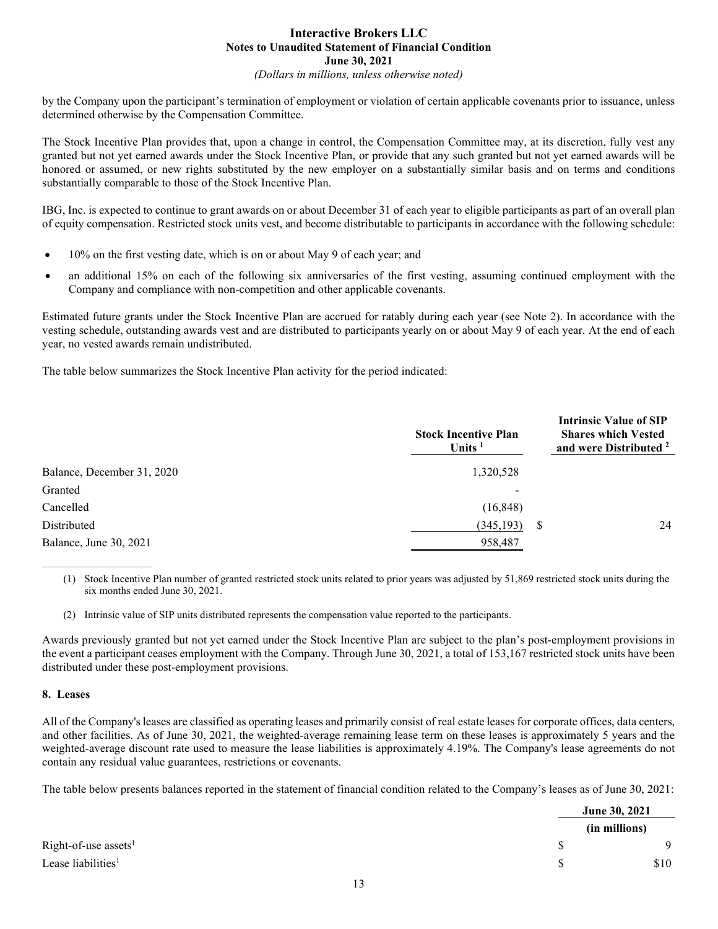(Dollars in millions, unless otherwise noted)

by the Company upon the participant's termination of employment or violation of certain applicable covenants prior to issuance, unless determined otherwise by the Compensation Committee.

The Stock Incentive Plan provides that, upon a change in control, the Compensation Committee may, at its discretion, fully vest any granted but not yet earned awards under the Stock Incentive Plan, or provide that any such granted but not yet earned awards will be honored or assumed, or new rights substituted by the new employer on a substantially similar basis and on terms and conditions substantially comparable to those of the Stock Incentive Plan.

IBG, Inc. is expected to continue to grant awards on or about December 31 of each year to eligible participants as part of an overall plan of equity compensation. Restricted stock units vest, and become distributable to participants in accordance with the following schedule:

- 10% on the first vesting date, which is on or about May 9 of each year; and
- an additional 15% on each of the following six anniversaries of the first vesting, assuming continued employment with the Company and compliance with non-competition and other applicable covenants.

Estimated future grants under the Stock Incentive Plan are accrued for ratably during each year (see Note 2). In accordance with the vesting schedule, outstanding awards vest and are distributed to participants yearly on or about May 9 of each year. At the end of each year, no vested awards remain undistributed.

The table below summarizes the Stock Incentive Plan activity for the period indicated:

|                            | <b>Stock Incentive Plan</b><br>Units $1$ | <b>Intrinsic Value of SIP</b><br><b>Shares which Vested</b><br>and were Distributed <sup>2</sup> |
|----------------------------|------------------------------------------|--------------------------------------------------------------------------------------------------|
| Balance, December 31, 2020 | 1,320,528                                |                                                                                                  |
| Granted                    |                                          |                                                                                                  |
| Cancelled                  | (16, 848)                                |                                                                                                  |
| Distributed                | (345, 193)                               | 24<br>S                                                                                          |
| Balance, June 30, 2021     | 958,487                                  |                                                                                                  |

(1) Stock Incentive Plan number of granted restricted stock units related to prior years was adjusted by 51,869 restricted stock units during the six months ended June 30, 2021.

(2) Intrinsic value of SIP units distributed represents the compensation value reported to the participants.

Awards previously granted but not yet earned under the Stock Incentive Plan are subject to the plan's post-employment provisions in the event a participant ceases employment with the Company. Through June 30, 2021, a total of 153,167 restricted stock units have been distributed under these post-employment provisions.

#### 8. Leases

 $\mathcal{L}_\text{max}$ 

All of the Company's leases are classified as operating leases and primarily consist of real estate leases for corporate offices, data centers, and other facilities. As of June 30, 2021, the weighted-average remaining lease term on these leases is approximately 5 years and the weighted-average discount rate used to measure the lease liabilities is approximately 4.19%. The Company's lease agreements do not contain any residual value guarantees, restrictions or covenants.

The table below presents balances reported in the statement of financial condition related to the Company's leases as of June 30, 2021:

|                                |    | June 30, 2021 |  |  |
|--------------------------------|----|---------------|--|--|
|                                |    | (in millions) |  |  |
| Right-of-use assets $1$        | S. |               |  |  |
| Lease liabilities <sup>1</sup> | S  | \$10          |  |  |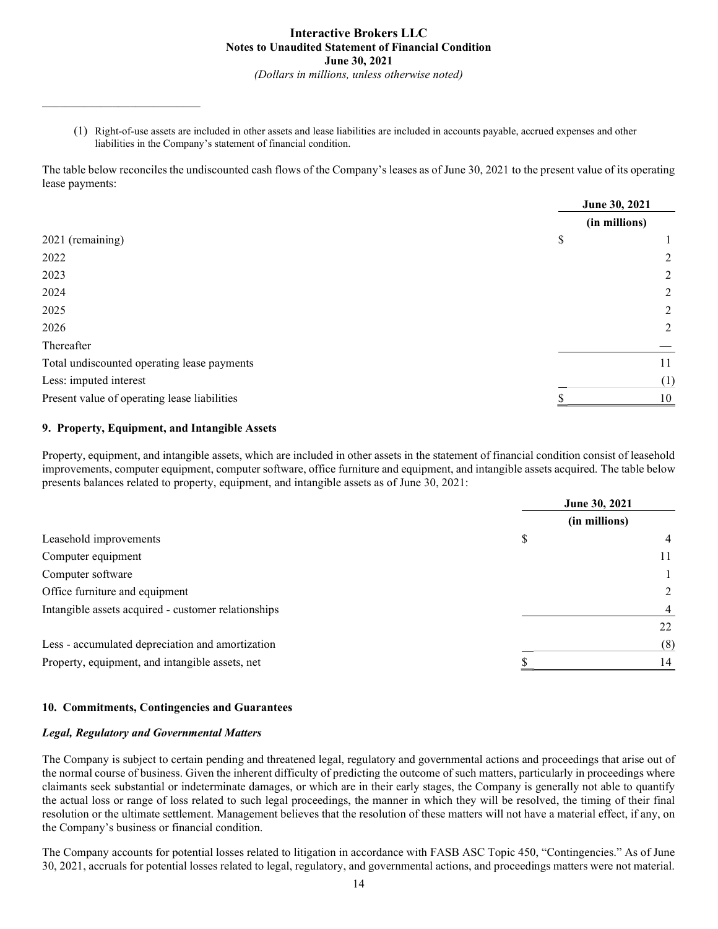(1) Right-of-use assets are included in other assets and lease liabilities are included in accounts payable, accrued expenses and other liabilities in the Company's statement of financial condition.

The table below reconciles the undiscounted cash flows of the Company's leases as of June 30, 2021 to the present value of its operating lease payments:

|                                              | June 30, 2021 |
|----------------------------------------------|---------------|
|                                              | (in millions) |
| 2021 (remaining)                             | \$            |
| 2022                                         | 2             |
| 2023                                         | 2             |
| 2024                                         | 2             |
| 2025                                         | 2             |
| 2026                                         | 2             |
| Thereafter                                   |               |
| Total undiscounted operating lease payments  | 11            |
| Less: imputed interest                       | (1)           |
| Present value of operating lease liabilities | 10            |

#### 9. Property, Equipment, and Intangible Assets

Property, equipment, and intangible assets, which are included in other assets in the statement of financial condition consist of leasehold improvements, computer equipment, computer software, office furniture and equipment, and intangible assets acquired. The table below presents balances related to property, equipment, and intangible assets as of June 30, 2021:

|                                                     | June 30, 2021 |                |  |
|-----------------------------------------------------|---------------|----------------|--|
|                                                     | (in millions) |                |  |
| Leasehold improvements                              | \$            | 4              |  |
| Computer equipment                                  |               | 11             |  |
| Computer software                                   |               |                |  |
| Office furniture and equipment                      |               | $\mathfrak{D}$ |  |
| Intangible assets acquired - customer relationships |               | 4              |  |
|                                                     |               | 22             |  |
| Less - accumulated depreciation and amortization    |               | (8)            |  |
| Property, equipment, and intangible assets, net     |               | 14             |  |

#### 10. Commitments, Contingencies and Guarantees

#### Legal, Regulatory and Governmental Matters

The Company is subject to certain pending and threatened legal, regulatory and governmental actions and proceedings that arise out of the normal course of business. Given the inherent difficulty of predicting the outcome of such matters, particularly in proceedings where claimants seek substantial or indeterminate damages, or which are in their early stages, the Company is generally not able to quantify the actual loss or range of loss related to such legal proceedings, the manner in which they will be resolved, the timing of their final resolution or the ultimate settlement. Management believes that the resolution of these matters will not have a material effect, if any, on the Company's business or financial condition.

The Company accounts for potential losses related to litigation in accordance with FASB ASC Topic 450, "Contingencies." As of June 30, 2021, accruals for potential losses related to legal, regulatory, and governmental actions, and proceedings matters were not material.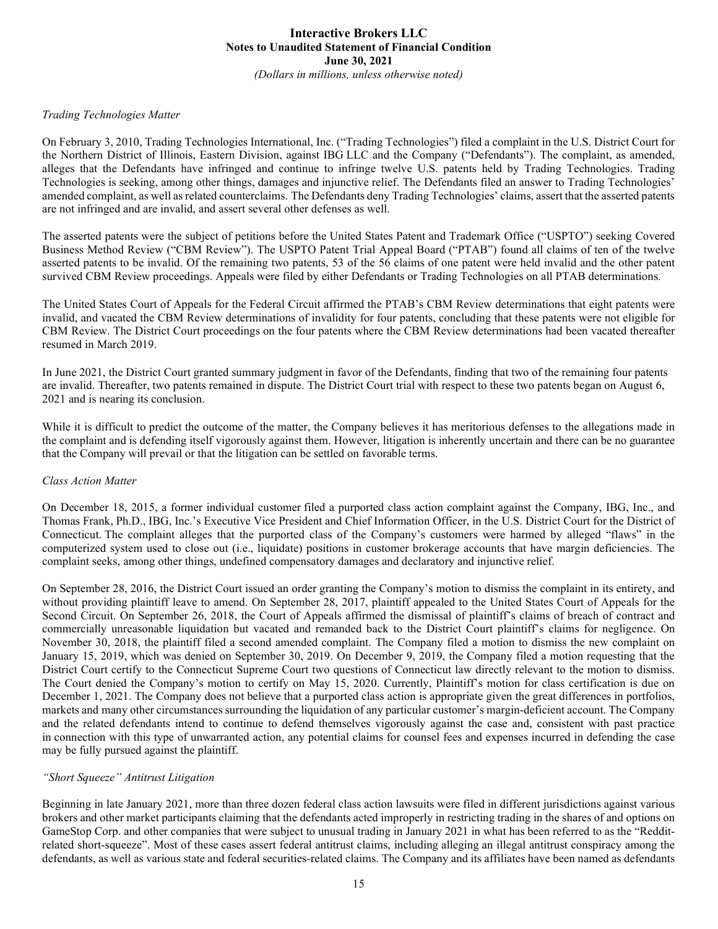#### Trading Technologies Matter

On February 3, 2010, Trading Technologies International, Inc. ("Trading Technologies") filed a complaint in the U.S. District Court for the Northern District of Illinois, Eastern Division, against IBG LLC and the Company ("Defendants"). The complaint, as amended, alleges that the Defendants have infringed and continue to infringe twelve U.S. patents held by Trading Technologies. Trading Technologies is seeking, among other things, damages and injunctive relief. The Defendants filed an answer to Trading Technologies' amended complaint, as well as related counterclaims. The Defendants deny Trading Technologies' claims, assert that the asserted patents are not infringed and are invalid, and assert several other defenses as well.

The asserted patents were the subject of petitions before the United States Patent and Trademark Office ("USPTO") seeking Covered Business Method Review ("CBM Review"). The USPTO Patent Trial Appeal Board ("PTAB") found all claims of ten of the twelve asserted patents to be invalid. Of the remaining two patents, 53 of the 56 claims of one patent were held invalid and the other patent survived CBM Review proceedings. Appeals were filed by either Defendants or Trading Technologies on all PTAB determinations.

The United States Court of Appeals for the Federal Circuit affirmed the PTAB's CBM Review determinations that eight patents were invalid, and vacated the CBM Review determinations of invalidity for four patents, concluding that these patents were not eligible for CBM Review. The District Court proceedings on the four patents where the CBM Review determinations had been vacated thereafter resumed in March 2019.

In June 2021, the District Court granted summary judgment in favor of the Defendants, finding that two of the remaining four patents are invalid. Thereafter, two patents remained in dispute. The District Court trial with respect to these two patents began on August 6, 2021 and is nearing its conclusion.

While it is difficult to predict the outcome of the matter, the Company believes it has meritorious defenses to the allegations made in the complaint and is defending itself vigorously against them. However, litigation is inherently uncertain and there can be no guarantee that the Company will prevail or that the litigation can be settled on favorable terms.

#### Class Action Matter

On December 18, 2015, a former individual customer filed a purported class action complaint against the Company, IBG, Inc., and Thomas Frank, Ph.D., IBG, Inc.'s Executive Vice President and Chief Information Officer, in the U.S. District Court for the District of Connecticut. The complaint alleges that the purported class of the Company's customers were harmed by alleged "flaws" in the computerized system used to close out (i.e., liquidate) positions in customer brokerage accounts that have margin deficiencies. The complaint seeks, among other things, undefined compensatory damages and declaratory and injunctive relief.

On September 28, 2016, the District Court issued an order granting the Company's motion to dismiss the complaint in its entirety, and without providing plaintiff leave to amend. On September 28, 2017, plaintiff appealed to the United States Court of Appeals for the Second Circuit. On September 26, 2018, the Court of Appeals affirmed the dismissal of plaintiff's claims of breach of contract and commercially unreasonable liquidation but vacated and remanded back to the District Court plaintiff's claims for negligence. On November 30, 2018, the plaintiff filed a second amended complaint. The Company filed a motion to dismiss the new complaint on January 15, 2019, which was denied on September 30, 2019. On December 9, 2019, the Company filed a motion requesting that the District Court certify to the Connecticut Supreme Court two questions of Connecticut law directly relevant to the motion to dismiss. The Court denied the Company's motion to certify on May 15, 2020. Currently, Plaintiff's motion for class certification is due on December 1, 2021. The Company does not believe that a purported class action is appropriate given the great differences in portfolios, markets and many other circumstances surrounding the liquidation of any particular customer's margin-deficient account. The Company and the related defendants intend to continue to defend themselves vigorously against the case and, consistent with past practice in connection with this type of unwarranted action, any potential claims for counsel fees and expenses incurred in defending the case may be fully pursued against the plaintiff.

#### "Short Squeeze" Antitrust Litigation

Beginning in late January 2021, more than three dozen federal class action lawsuits were filed in different jurisdictions against various brokers and other market participants claiming that the defendants acted improperly in restricting trading in the shares of and options on GameStop Corp. and other companies that were subject to unusual trading in January 2021 in what has been referred to as the "Redditrelated short-squeeze". Most of these cases assert federal antitrust claims, including alleging an illegal antitrust conspiracy among the defendants, as well as various state and federal securities-related claims. The Company and its affiliates have been named as defendants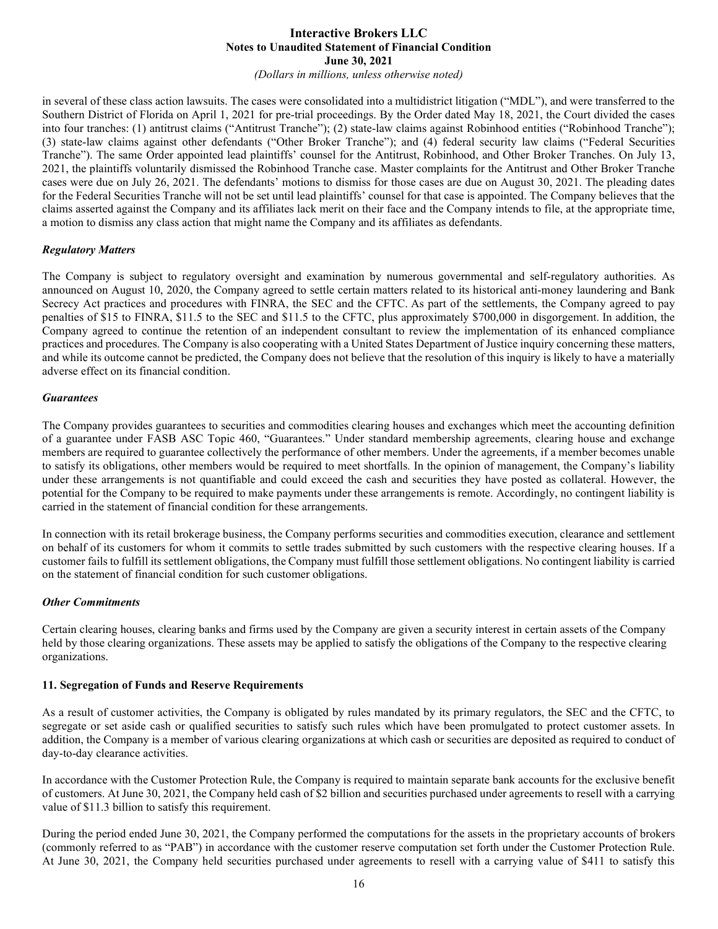(Dollars in millions, unless otherwise noted)

in several of these class action lawsuits. The cases were consolidated into a multidistrict litigation ("MDL"), and were transferred to the Southern District of Florida on April 1, 2021 for pre-trial proceedings. By the Order dated May 18, 2021, the Court divided the cases into four tranches: (1) antitrust claims ("Antitrust Tranche"); (2) state-law claims against Robinhood entities ("Robinhood Tranche"); (3) state-law claims against other defendants ("Other Broker Tranche"); and (4) federal security law claims ("Federal Securities Tranche"). The same Order appointed lead plaintiffs' counsel for the Antitrust, Robinhood, and Other Broker Tranches. On July 13, 2021, the plaintiffs voluntarily dismissed the Robinhood Tranche case. Master complaints for the Antitrust and Other Broker Tranche cases were due on July 26, 2021. The defendants' motions to dismiss for those cases are due on August 30, 2021. The pleading dates for the Federal Securities Tranche will not be set until lead plaintiffs' counsel for that case is appointed. The Company believes that the claims asserted against the Company and its affiliates lack merit on their face and the Company intends to file, at the appropriate time, a motion to dismiss any class action that might name the Company and its affiliates as defendants.

#### Regulatory Matters

The Company is subject to regulatory oversight and examination by numerous governmental and self-regulatory authorities. As announced on August 10, 2020, the Company agreed to settle certain matters related to its historical anti-money laundering and Bank Secrecy Act practices and procedures with FINRA, the SEC and the CFTC. As part of the settlements, the Company agreed to pay penalties of \$15 to FINRA, \$11.5 to the SEC and \$11.5 to the CFTC, plus approximately \$700,000 in disgorgement. In addition, the Company agreed to continue the retention of an independent consultant to review the implementation of its enhanced compliance practices and procedures. The Company is also cooperating with a United States Department of Justice inquiry concerning these matters, and while its outcome cannot be predicted, the Company does not believe that the resolution of this inquiry is likely to have a materially adverse effect on its financial condition.

#### Guarantees

The Company provides guarantees to securities and commodities clearing houses and exchanges which meet the accounting definition of a guarantee under FASB ASC Topic 460, "Guarantees." Under standard membership agreements, clearing house and exchange members are required to guarantee collectively the performance of other members. Under the agreements, if a member becomes unable to satisfy its obligations, other members would be required to meet shortfalls. In the opinion of management, the Company's liability under these arrangements is not quantifiable and could exceed the cash and securities they have posted as collateral. However, the potential for the Company to be required to make payments under these arrangements is remote. Accordingly, no contingent liability is carried in the statement of financial condition for these arrangements.

In connection with its retail brokerage business, the Company performs securities and commodities execution, clearance and settlement on behalf of its customers for whom it commits to settle trades submitted by such customers with the respective clearing houses. If a customer fails to fulfill its settlement obligations, the Company must fulfill those settlement obligations. No contingent liability is carried on the statement of financial condition for such customer obligations.

#### Other Commitments

Certain clearing houses, clearing banks and firms used by the Company are given a security interest in certain assets of the Company held by those clearing organizations. These assets may be applied to satisfy the obligations of the Company to the respective clearing organizations.

#### 11. Segregation of Funds and Reserve Requirements

As a result of customer activities, the Company is obligated by rules mandated by its primary regulators, the SEC and the CFTC, to segregate or set aside cash or qualified securities to satisfy such rules which have been promulgated to protect customer assets. In addition, the Company is a member of various clearing organizations at which cash or securities are deposited as required to conduct of day-to-day clearance activities.

In accordance with the Customer Protection Rule, the Company is required to maintain separate bank accounts for the exclusive benefit of customers. At June 30, 2021, the Company held cash of \$2 billion and securities purchased under agreements to resell with a carrying value of \$11.3 billion to satisfy this requirement.

During the period ended June 30, 2021, the Company performed the computations for the assets in the proprietary accounts of brokers (commonly referred to as "PAB") in accordance with the customer reserve computation set forth under the Customer Protection Rule. At June 30, 2021, the Company held securities purchased under agreements to resell with a carrying value of \$411 to satisfy this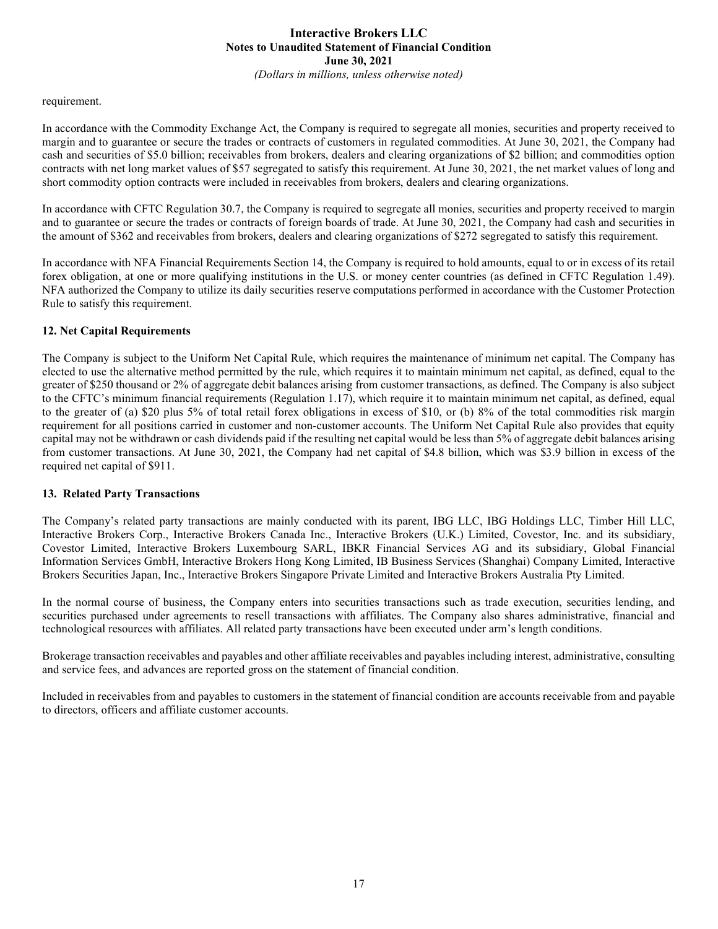(Dollars in millions, unless otherwise noted)

#### requirement.

In accordance with the Commodity Exchange Act, the Company is required to segregate all monies, securities and property received to margin and to guarantee or secure the trades or contracts of customers in regulated commodities. At June 30, 2021, the Company had cash and securities of \$5.0 billion; receivables from brokers, dealers and clearing organizations of \$2 billion; and commodities option contracts with net long market values of \$57 segregated to satisfy this requirement. At June 30, 2021, the net market values of long and short commodity option contracts were included in receivables from brokers, dealers and clearing organizations.

In accordance with CFTC Regulation 30.7, the Company is required to segregate all monies, securities and property received to margin and to guarantee or secure the trades or contracts of foreign boards of trade. At June 30, 2021, the Company had cash and securities in the amount of \$362 and receivables from brokers, dealers and clearing organizations of \$272 segregated to satisfy this requirement.

In accordance with NFA Financial Requirements Section 14, the Company is required to hold amounts, equal to or in excess of its retail forex obligation, at one or more qualifying institutions in the U.S. or money center countries (as defined in CFTC Regulation 1.49). NFA authorized the Company to utilize its daily securities reserve computations performed in accordance with the Customer Protection Rule to satisfy this requirement.

#### 12. Net Capital Requirements

The Company is subject to the Uniform Net Capital Rule, which requires the maintenance of minimum net capital. The Company has elected to use the alternative method permitted by the rule, which requires it to maintain minimum net capital, as defined, equal to the greater of \$250 thousand or 2% of aggregate debit balances arising from customer transactions, as defined. The Company is also subject to the CFTC's minimum financial requirements (Regulation 1.17), which require it to maintain minimum net capital, as defined, equal to the greater of (a) \$20 plus 5% of total retail forex obligations in excess of \$10, or (b) 8% of the total commodities risk margin requirement for all positions carried in customer and non-customer accounts. The Uniform Net Capital Rule also provides that equity capital may not be withdrawn or cash dividends paid if the resulting net capital would be less than 5% of aggregate debit balances arising from customer transactions. At June 30, 2021, the Company had net capital of \$4.8 billion, which was \$3.9 billion in excess of the required net capital of \$911.

#### 13. Related Party Transactions

The Company's related party transactions are mainly conducted with its parent, IBG LLC, IBG Holdings LLC, Timber Hill LLC, Interactive Brokers Corp., Interactive Brokers Canada Inc., Interactive Brokers (U.K.) Limited, Covestor, Inc. and its subsidiary, Covestor Limited, Interactive Brokers Luxembourg SARL, IBKR Financial Services AG and its subsidiary, Global Financial Information Services GmbH, Interactive Brokers Hong Kong Limited, IB Business Services (Shanghai) Company Limited, Interactive Brokers Securities Japan, Inc., Interactive Brokers Singapore Private Limited and Interactive Brokers Australia Pty Limited.

In the normal course of business, the Company enters into securities transactions such as trade execution, securities lending, and securities purchased under agreements to resell transactions with affiliates. The Company also shares administrative, financial and technological resources with affiliates. All related party transactions have been executed under arm's length conditions.

Brokerage transaction receivables and payables and other affiliate receivables and payables including interest, administrative, consulting and service fees, and advances are reported gross on the statement of financial condition.

Included in receivables from and payables to customers in the statement of financial condition are accounts receivable from and payable to directors, officers and affiliate customer accounts.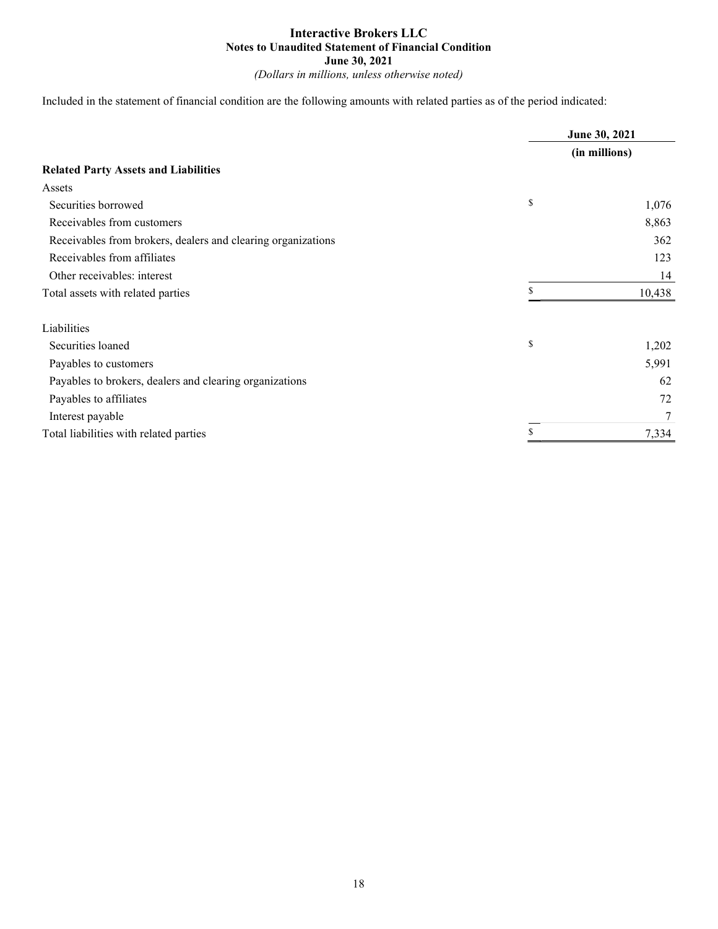Included in the statement of financial condition are the following amounts with related parties as of the period indicated:

|                                                              | June 30, 2021<br>(in millions) |        |
|--------------------------------------------------------------|--------------------------------|--------|
|                                                              |                                |        |
| <b>Related Party Assets and Liabilities</b>                  |                                |        |
| Assets                                                       |                                |        |
| Securities borrowed                                          | \$                             | 1,076  |
| Receivables from customers                                   |                                | 8,863  |
| Receivables from brokers, dealers and clearing organizations |                                | 362    |
| Receivables from affiliates                                  |                                | 123    |
| Other receivables: interest                                  |                                | 14     |
| Total assets with related parties                            |                                | 10,438 |
| Liabilities                                                  |                                |        |
| Securities loaned                                            | \$                             | 1,202  |
| Payables to customers                                        |                                | 5,991  |
| Payables to brokers, dealers and clearing organizations      |                                | 62     |
| Payables to affiliates                                       |                                | 72     |
| Interest payable                                             |                                |        |
| Total liabilities with related parties                       |                                | 7,334  |